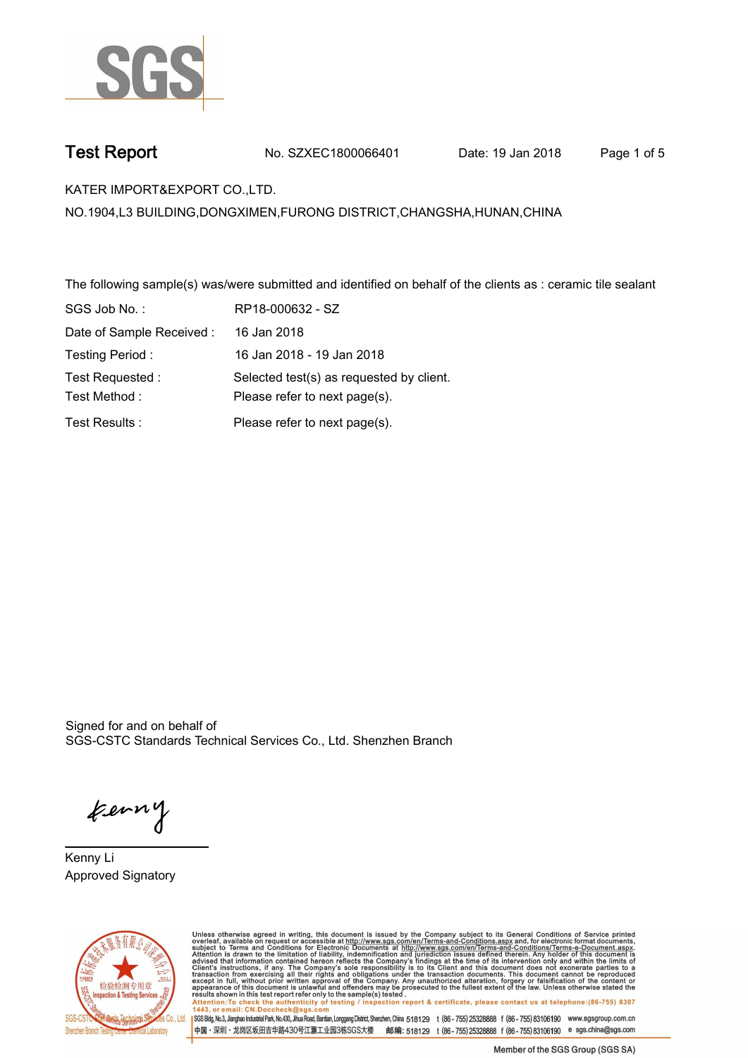

**Test Report. No. SZXEC1800066401** Date: 19 Jan 2018 Page 1 of 5

**KATER IMPORT&EXPORT CO.,LTD..**

**NO.1904,L3 BUILDING,DONGXIMEN,FURONG DISTRICT,CHANGSHA,HUNAN,CHINA**

**The following sample(s) was/were submitted and identified on behalf of the clients as : ceramic tile sealant.**

| SGS Job No.:              | RP18-000632 - SZ                         |
|---------------------------|------------------------------------------|
| Date of Sample Received : | 16 Jan 2018                              |
| Testing Period:           | 16 Jan 2018 - 19 Jan 2018                |
| Test Requested :          | Selected test(s) as requested by client. |
| Test Method:              | Please refer to next page(s).            |
| Test Results :            | Please refer to next page(s).            |

Signed for and on behalf of SGS-CSTC Standards Technical Services Co., Ltd. Shenzhen Branch.

ferny

**Kenny Li. Approved Signatory.**



Unless otherwise agreed in writing, this document is issued by the Company subject to its General Conditions of Service printed<br>overleaf, available on request or accessible at http://www.sgs.com/en/Terms-and-Conditions.as

SGSBldg, No.3, Jianghao Industrial Park, No.430, Jihua Road, Bantian, Longgang District, Shenzhen, China 518129 t (86-755) 25328888 f (86-755) 83106190 www.sgsgroup.com.cn 中国·深圳·龙岗区坂田吉华路430号江灏工业园3栋SGS大楼 邮编: 518129 t (86-755)25328888 f (86-755)83106190 e sgs.china@sgs.com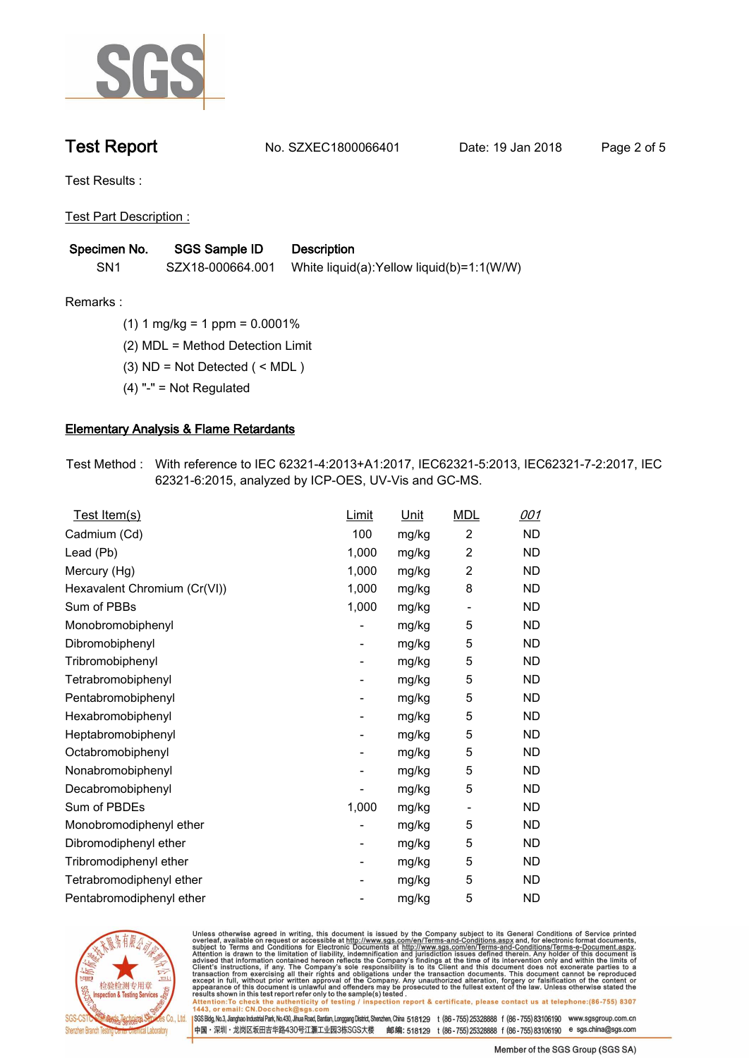

**Test Report No. SZXEC1800066401** Date: 19 Jan 2018 Page 2 of 5

**Test Results :.**

**Test Part Description :.**

| Specimen No. | SGS Sample ID    | <b>Description</b>                         |
|--------------|------------------|--------------------------------------------|
| SN1          | SZX18-000664.001 | White liquid(a): Yellow liquid(b)=1:1(W/W) |

**Remarks :.(1) 1 mg/kg = 1 ppm = 0.0001%.**

**(2) MDL = Method Detection Limit.**

**(3) ND = Not Detected ( < MDL ).**

**(4) "-" = Not Regulated.**

## **Elementary Analysis & Flame Retardants.**

**Test Method :. With reference to IEC 62321-4:2013+A1:2017, IEC62321-5:2013, IEC62321-7-2:2017, IEC 62321-6:2015, analyzed by ICP-OES, UV-Vis and GC-MS..**

| Test Item(s)                 | <u>Limit</u>             | <u>Unit</u> | <b>MDL</b>               | <u>001</u> |
|------------------------------|--------------------------|-------------|--------------------------|------------|
| Cadmium (Cd)                 | 100                      | mg/kg       | $\overline{2}$           | <b>ND</b>  |
| Lead (Pb)                    | 1,000                    | mg/kg       | $\overline{c}$           | <b>ND</b>  |
| Mercury (Hg)                 | 1,000                    | mg/kg       | 2                        | <b>ND</b>  |
| Hexavalent Chromium (Cr(VI)) | 1,000                    | mg/kg       | 8                        | <b>ND</b>  |
| Sum of PBBs                  | 1,000                    | mg/kg       | $\overline{\phantom{a}}$ | <b>ND</b>  |
| Monobromobiphenyl            |                          | mg/kg       | 5                        | <b>ND</b>  |
| Dibromobiphenyl              | $\overline{\phantom{a}}$ | mg/kg       | 5                        | <b>ND</b>  |
| Tribromobiphenyl             | $\overline{\phantom{a}}$ | mg/kg       | 5                        | <b>ND</b>  |
| Tetrabromobiphenyl           | $\overline{\phantom{a}}$ | mg/kg       | 5                        | <b>ND</b>  |
| Pentabromobiphenyl           | $\overline{\phantom{a}}$ | mg/kg       | 5                        | <b>ND</b>  |
| Hexabromobiphenyl            |                          | mg/kg       | 5                        | <b>ND</b>  |
| Heptabromobiphenyl           | $\overline{\phantom{a}}$ | mg/kg       | 5                        | <b>ND</b>  |
| Octabromobiphenyl            | -                        | mg/kg       | 5                        | <b>ND</b>  |
| Nonabromobiphenyl            |                          | mg/kg       | 5                        | <b>ND</b>  |
| Decabromobiphenyl            |                          | mg/kg       | 5                        | <b>ND</b>  |
| Sum of PBDEs                 | 1,000                    | mg/kg       | $\overline{\phantom{a}}$ | <b>ND</b>  |
| Monobromodiphenyl ether      |                          | mg/kg       | 5                        | <b>ND</b>  |
| Dibromodiphenyl ether        | -                        | mg/kg       | 5                        | <b>ND</b>  |
| Tribromodiphenyl ether       | ۰.                       | mg/kg       | 5                        | <b>ND</b>  |
| Tetrabromodiphenyl ether     |                          | mg/kg       | 5                        | <b>ND</b>  |
| Pentabromodiphenyl ether     |                          | mg/kg       | 5                        | <b>ND</b>  |
|                              |                          |             |                          |            |



Unless otherwise agreed in writing, this document is issued by the Company subject to its General Conditions of Service printed<br>overleaf, available on request or accessible at http://www.sgs.com/en/Terms-and-Conditions.as

SGS Bldg, No.3, Jianghao Industrial Park, No.430, Jihua Road, Bantian, Longgang District, Shenzhen, China 518129 t (86-755) 25328888 f (86-755) 83106190 www.sgsgroup.com.cn 中国·深圳·龙岗区坂田吉华路430号江灏工业园3栋SGS大楼 邮编: 518129 t (86-755)25328888 f (86-755)83106190 e sgs.china@sgs.com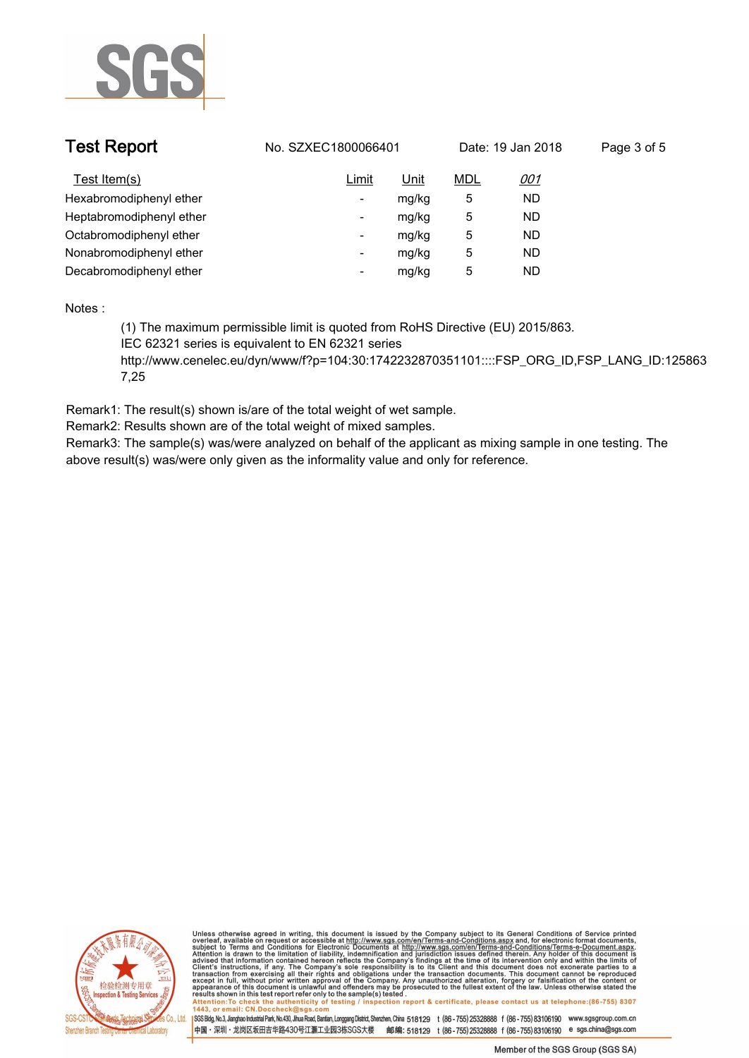

| <b>Test Report</b>       | No. SZXEC1800066401 |       | Date: 19 Jan 2018 |           | Page 3 of 5 |  |
|--------------------------|---------------------|-------|-------------------|-----------|-------------|--|
| Test Item(s)             | Limit               | Unit  | <u>MDL</u>        | 001       |             |  |
| Hexabromodiphenyl ether  | ۰                   | mg/kg | 5                 | <b>ND</b> |             |  |
| Heptabromodiphenyl ether | ۰                   | mg/kg | 5                 | ND.       |             |  |
| Octabromodiphenyl ether  | -                   | mg/kg | 5                 | ND.       |             |  |
| Nonabromodiphenyl ether  | -                   | mg/kg | 5                 | <b>ND</b> |             |  |
| Decabromodiphenyl ether  | -                   | mg/kg | 5                 | ND.       |             |  |
|                          |                     |       |                   |           |             |  |

**Notes :.**

**(1) The maximum permissible limit is quoted from RoHS Directive (EU) 2015/863. IEC 62321 series is equivalent to EN 62321 series**

**http://www.cenelec.eu/dyn/www/f?p=104:30:1742232870351101::::FSP\_ORG\_ID,FSP\_LANG\_ID:125863 7,25.**

**Remark1: The result(s) shown is/are of the total weight of wet sample.**

**Remark2: Results shown are of the total weight of mixed samples.**

**Remark3: The sample(s) was/were analyzed on behalf of the applicant as mixing sample in one testing. The above result(s) was/were only given as the informality value and only for reference..**



Unless otherwise agreed in writing, this document is issued by the Company subject to its General Conditions of Service printed<br>overleaf, available on request or accessible at http://www.sgs.com/en/Terms-and-Conditions.as

SGSBldg, No.3, Jianghao Industrial Park, No.430, Jihua Road, Bantian, Longgang District, Shenzhen, China 518129 t (86-755) 25328888 f (86-755) 83106190 www.sgsgroup.com.cn

中国·深圳·龙岗区坂田吉华路430号江灏工业园3栋SGS大楼 邮编: 518129 t (86-755)25328888 f (86-755)83106190 e sgs.china@sgs.com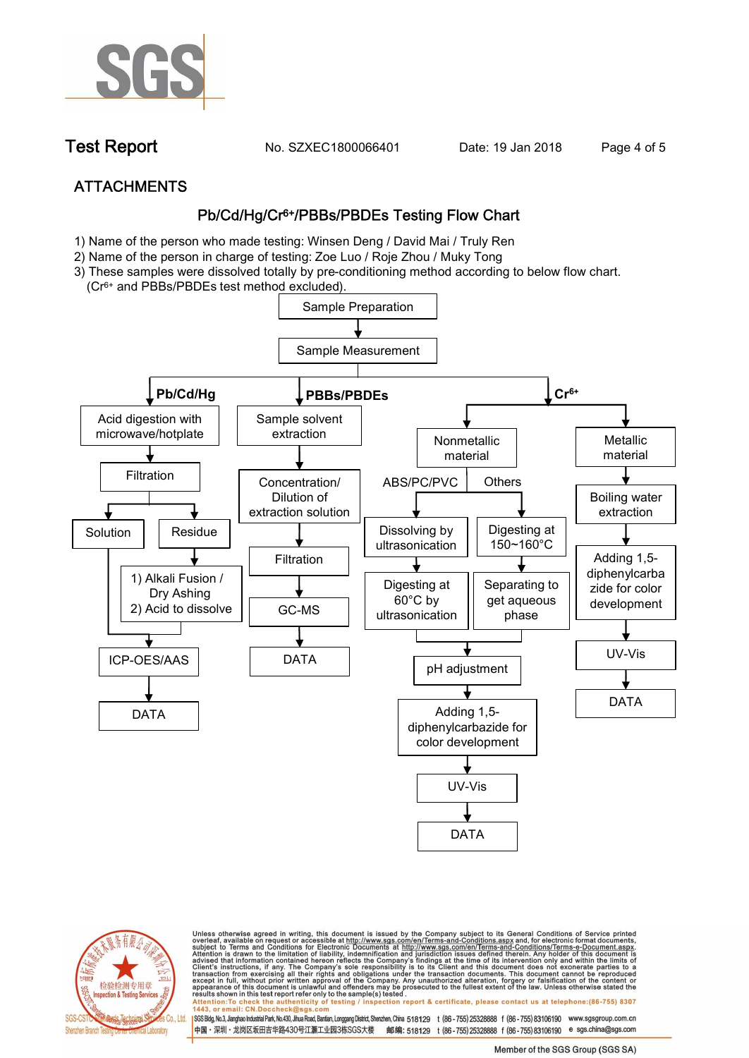

**Test Report. No. SZXEC1800066401** Date: 19 Jan 2018 Page 4 of 5

# **ATTACHMENTS Pb/Cd/Hg/Cr6+/PBBs/PBDEs Testing Flow Chart**

- **1)** Name of the person who made testing: **Winsen Deng / David Mai / Truly Ren**
- **2)** Name of the person in charge of testing: **Zoe Luo / Roje Zhou / Muky Tong**
- **3) These samples were dissolved totally by pre-conditioning method according to below flow chart.**
- **(Cr6+ and PBBs/PBDEs test method excluded).**





Unless otherwise agreed in writing, this document is issued by the Company subject to its General Conditions of Service printed<br>overleaf, available on request or accessible at http://www.sgs.com/en/Terms-and-Conditions.as

SGS Bldg, No.3, Jianghao Industrial Park, No.430, Jihua Road, Bantian, Longgang District, Shenzhen, China 518129 t (86-755) 25328888 f (86-755) 83106190 www.sgsgroup.com.cn

中国·深圳·龙岗区坂田吉华路430号江灏工业园3栋SGS大楼 邮编: 518129 t (86-755)25328888 f (86-755)83106190 e sgs.china@sgs.com